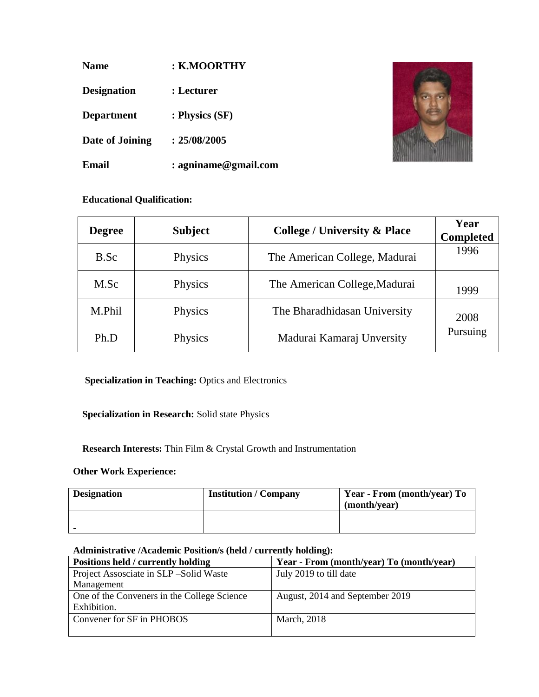| <b>Name</b>        | : K.MOORTHY             |
|--------------------|-------------------------|
| <b>Designation</b> | : Lecturer              |
| <b>Department</b>  | : Physics (SF)          |
| Date of Joining    | : 25/08/2005            |
| Email              | $: a$ gniname@gmail.com |



## **Educational Qualification:**

| <b>Degree</b> | <b>Subject</b> | <b>College / University &amp; Place</b> | Year<br><b>Completed</b> |
|---------------|----------------|-----------------------------------------|--------------------------|
| B.Sc          | Physics        | The American College, Madurai           | 1996                     |
| M.Sc          | Physics        | The American College, Madurai           | 1999                     |
| M.Phil        | Physics        | The Bharadhidasan University            | 2008                     |
| Ph.D          | Physics        | Madurai Kamaraj Unversity               | Pursuing                 |

## **Specialization in Teaching:** Optics and Electronics

## **Specialization in Research:** Solid state Physics

### **Research Interests:** Thin Film & Crystal Growth and Instrumentation

### **Other Work Experience:**

| <b>Designation</b> | <b>Institution / Company</b> | Year - From (month/year) To<br>(month/year) |
|--------------------|------------------------------|---------------------------------------------|
|                    |                              |                                             |

### **Administrative /Academic Position/s (held / currently holding):**

| Positions held / currently holding          | Year - From (month/year) To (month/year) |
|---------------------------------------------|------------------------------------------|
| Project Assosciate in SLP-Solid Waste       | July 2019 to till date                   |
| Management                                  |                                          |
| One of the Conveners in the College Science | August, 2014 and September 2019          |
| Exhibition.                                 |                                          |
| Convener for SF in PHOBOS                   | <b>March</b> , 2018                      |
|                                             |                                          |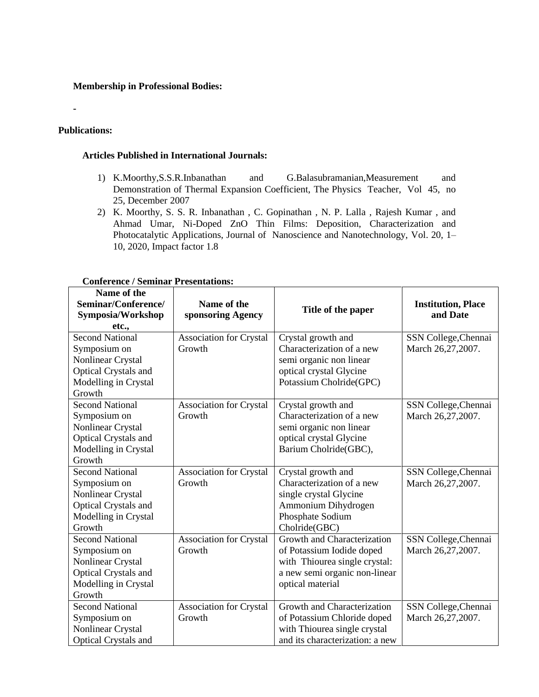#### **Membership in Professional Bodies:**

### **Publications:**

**-**

#### **Articles Published in International Journals:**

- 1) K.Moorthy,S.S.R.Inbanathan and G.Balasubramanian,Measurement and Demonstration of Thermal Expansion Coefficient, The Physics Teacher, Vol 45, no 25, December 2007
- 2) K. Moorthy, S. S. R. Inbanathan , C. Gopinathan , N. P. Lalla , Rajesh Kumar , and Ahmad Umar, Ni-Doped ZnO Thin Films: Deposition, Characterization and Photocatalytic Applications, Journal of Nanoscience and Nanotechnology, Vol. 20, 1– 10, 2020, Impact factor 1.8

| Name of the<br>Seminar/Conference/<br>Symposia/Workshop<br>etc., | Name of the<br>sponsoring Agency | Title of the paper              | <b>Institution, Place</b><br>and Date |
|------------------------------------------------------------------|----------------------------------|---------------------------------|---------------------------------------|
| <b>Second National</b>                                           | <b>Association for Crystal</b>   | Crystal growth and              | SSN College, Chennai                  |
| Symposium on                                                     | Growth                           | Characterization of a new       | March 26,27,2007.                     |
| Nonlinear Crystal                                                |                                  | semi organic non linear         |                                       |
| Optical Crystals and                                             |                                  | optical crystal Glycine         |                                       |
| Modelling in Crystal                                             |                                  | Potassium Cholride(GPC)         |                                       |
| Growth                                                           |                                  |                                 |                                       |
| <b>Second National</b>                                           | <b>Association for Crystal</b>   | Crystal growth and              | SSN College, Chennai                  |
| Symposium on                                                     | Growth                           | Characterization of a new       | March 26,27,2007.                     |
| Nonlinear Crystal                                                |                                  | semi organic non linear         |                                       |
| Optical Crystals and                                             |                                  | optical crystal Glycine         |                                       |
| Modelling in Crystal                                             |                                  | Barium Cholride(GBC),           |                                       |
| Growth                                                           |                                  |                                 |                                       |
| <b>Second National</b>                                           | <b>Association for Crystal</b>   | Crystal growth and              | SSN College, Chennai                  |
| Symposium on                                                     | Growth                           | Characterization of a new       | March 26,27,2007.                     |
| Nonlinear Crystal                                                |                                  | single crystal Glycine          |                                       |
| Optical Crystals and                                             |                                  | Ammonium Dihydrogen             |                                       |
| Modelling in Crystal                                             |                                  | Phosphate Sodium                |                                       |
| Growth                                                           |                                  | Cholride(GBC)                   |                                       |
| <b>Second National</b>                                           | <b>Association for Crystal</b>   | Growth and Characterization     | SSN College, Chennai                  |
| Symposium on                                                     | Growth                           | of Potassium Iodide doped       | March 26,27,2007.                     |
| Nonlinear Crystal                                                |                                  | with Thiourea single crystal:   |                                       |
| Optical Crystals and                                             |                                  | a new semi organic non-linear   |                                       |
| Modelling in Crystal                                             |                                  | optical material                |                                       |
| Growth                                                           |                                  |                                 |                                       |
| <b>Second National</b>                                           | <b>Association for Crystal</b>   | Growth and Characterization     | SSN College, Chennai                  |
| Symposium on                                                     | Growth                           | of Potassium Chloride doped     | March 26,27,2007.                     |
| Nonlinear Crystal                                                |                                  | with Thiourea single crystal    |                                       |
| <b>Optical Crystals and</b>                                      |                                  | and its characterization: a new |                                       |

#### **Conference / Seminar Presentations:**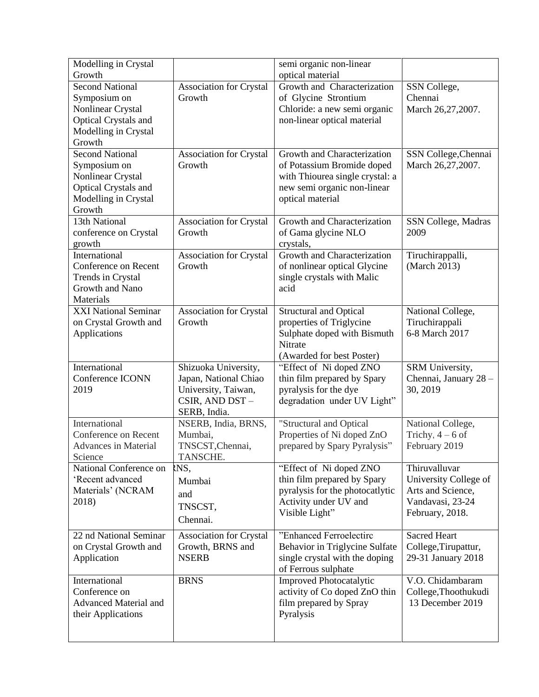| Modelling in Crystal                                |                                          | semi organic non-linear                                         |                                          |
|-----------------------------------------------------|------------------------------------------|-----------------------------------------------------------------|------------------------------------------|
| Growth                                              |                                          | optical material                                                |                                          |
| <b>Second National</b><br>Symposium on              | Association for Crystal<br>Growth        | Growth and Characterization<br>of Glycine Strontium             | SSN College,<br>Chennai                  |
| Nonlinear Crystal                                   |                                          | Chloride: a new semi organic                                    | March 26,27,2007.                        |
| Optical Crystals and                                |                                          | non-linear optical material                                     |                                          |
| Modelling in Crystal                                |                                          |                                                                 |                                          |
| Growth                                              |                                          |                                                                 |                                          |
| <b>Second National</b>                              | Association for Crystal                  | Growth and Characterization                                     | SSN College, Chennai                     |
| Symposium on                                        | Growth                                   | of Potassium Bromide doped                                      | March 26,27,2007.                        |
| Nonlinear Crystal                                   |                                          | with Thiourea single crystal: a                                 |                                          |
| Optical Crystals and                                |                                          | new semi organic non-linear                                     |                                          |
| Modelling in Crystal                                |                                          | optical material                                                |                                          |
| Growth                                              |                                          |                                                                 |                                          |
| 13th National                                       | <b>Association for Crystal</b>           | Growth and Characterization                                     | SSN College, Madras                      |
| conference on Crystal                               | Growth                                   | of Gama glycine NLO                                             | 2009                                     |
| growth<br>International                             |                                          | crystals,<br>Growth and Characterization                        |                                          |
| Conference on Recent                                | <b>Association for Crystal</b><br>Growth | of nonlinear optical Glycine                                    | Tiruchirappalli,<br>(March 2013)         |
| Trends in Crystal                                   |                                          | single crystals with Malic                                      |                                          |
| Growth and Nano                                     |                                          | acid                                                            |                                          |
| Materials                                           |                                          |                                                                 |                                          |
| <b>XXI National Seminar</b>                         | <b>Association for Crystal</b>           | <b>Structural and Optical</b>                                   | National College,                        |
| on Crystal Growth and                               | Growth                                   | properties of Triglycine                                        | Tiruchirappali                           |
| Applications                                        |                                          | Sulphate doped with Bismuth                                     | 6-8 March 2017                           |
|                                                     |                                          | Nitrate                                                         |                                          |
|                                                     |                                          | (Awarded for best Poster)                                       |                                          |
| International                                       | Shizuoka University,                     | "Effect of Ni doped ZNO                                         | SRM University,                          |
| Conference ICONN                                    | Japan, National Chiao                    | thin film prepared by Spary                                     | Chennai, January 28 -                    |
| 2019                                                | University, Taiwan,                      | pyralysis for the dye                                           | 30, 2019                                 |
|                                                     | CSIR, AND DST-<br>SERB, India.           | degradation under UV Light"                                     |                                          |
| International                                       | NSERB, India, BRNS,                      | "Structural and Optical                                         |                                          |
|                                                     |                                          |                                                                 |                                          |
|                                                     |                                          |                                                                 | National College,                        |
| Conference on Recent<br><b>Advances in Material</b> | Mumbai,                                  | Properties of Ni doped ZnO                                      | Trichy, $4 - 6$ of                       |
| Science                                             | TNSCST, Chennai,<br>TANSCHE.             | prepared by Spary Pyralysis"                                    | February 2019                            |
| National Conference on                              | INS,                                     | "Effect of Ni doped ZNO                                         | Thiruvalluvar                            |
| 'Recent advanced                                    | Mumbai                                   | thin film prepared by Spary                                     | University College of                    |
| Materials' (NCRAM                                   | and                                      | pyralysis for the photocatlytic                                 | Arts and Science,                        |
| 2018)                                               |                                          | Activity under UV and                                           | Vandavasi, 23-24                         |
|                                                     | TNSCST,<br>Chennai.                      | Visible Light"                                                  | February, 2018.                          |
|                                                     |                                          |                                                                 |                                          |
| 22 nd National Seminar                              | <b>Association for Crystal</b>           | "Enhanced Ferroelectirc                                         | <b>Sacred Heart</b>                      |
| on Crystal Growth and                               | Growth, BRNS and                         | Behavior in Triglycine Sulfate                                  | College, Tirupattur,                     |
| Application                                         | <b>NSERB</b>                             | single crystal with the doping                                  | 29-31 January 2018                       |
| International                                       | <b>BRNS</b>                              | of Ferrous sulphate                                             |                                          |
| Conference on                                       |                                          | <b>Improved Photocatalytic</b><br>activity of Co doped ZnO thin | V.O. Chidambaram<br>College, Thoothukudi |
| <b>Advanced Material and</b>                        |                                          | film prepared by Spray                                          | 13 December 2019                         |
| their Applications                                  |                                          | Pyralysis                                                       |                                          |
|                                                     |                                          |                                                                 |                                          |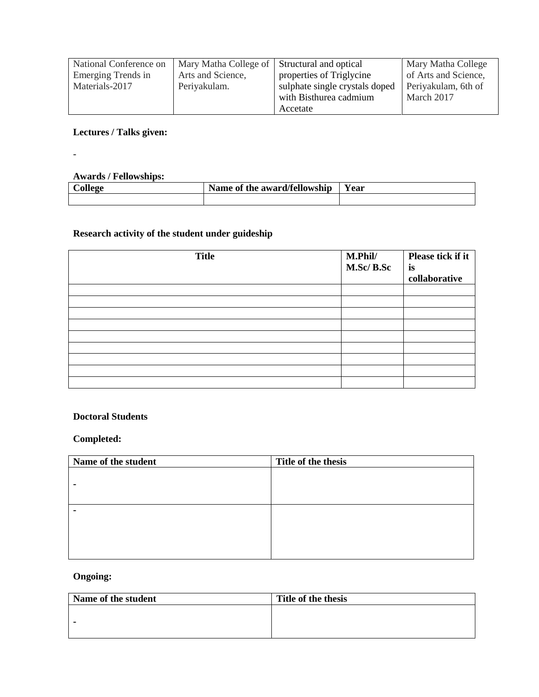| National Conference on | Mary Matha College of | Structural and optical         | Mary Matha College   |
|------------------------|-----------------------|--------------------------------|----------------------|
| Emerging Trends in     | Arts and Science,     | properties of Triglycine       | of Arts and Science, |
| Materials-2017         | Periyakulam.          | sulphate single crystals doped | Periyakulam, 6th of  |
|                        |                       | with Bisthurea cadmium         | March 2017           |
|                        |                       | Accetate                       |                      |

# **Lectures / Talks given:**

-

#### **Awards / Fellowships:**

| look | Name of the award/fellowship | $ -$<br><b>Year</b> |
|------|------------------------------|---------------------|
|      |                              |                     |

# **Research activity of the student under guideship**

| <b>Title</b> | M.Phil/<br>M.Sc/B.Sc | Please tick if it<br>is<br>collaborative |
|--------------|----------------------|------------------------------------------|
|              |                      |                                          |
|              |                      |                                          |
|              |                      |                                          |
|              |                      |                                          |
|              |                      |                                          |
|              |                      |                                          |
|              |                      |                                          |
|              |                      |                                          |
|              |                      |                                          |

#### **Doctoral Students**

# **Completed:**

| Name of the student | Title of the thesis |
|---------------------|---------------------|
|                     |                     |
|                     |                     |
|                     |                     |
|                     |                     |
|                     |                     |
|                     |                     |
|                     |                     |
|                     |                     |

# **Ongoing:**

| Name of the student | Title of the thesis |
|---------------------|---------------------|
|                     |                     |
|                     |                     |
|                     |                     |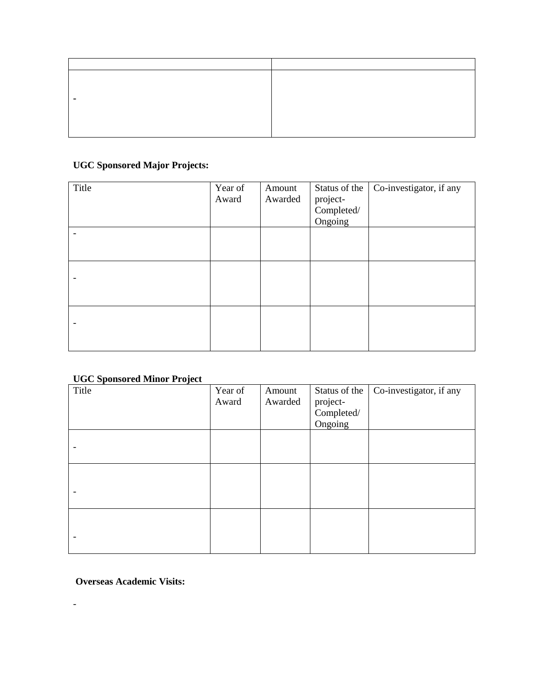| $\blacksquare$ |  |
|----------------|--|
|                |  |
|                |  |
|                |  |

# **UGC Sponsored Major Projects:**

| Title | Year of<br>Award | Amount<br>Awarded | Status of the<br>project-<br>Completed/<br>Ongoing | Co-investigator, if any |
|-------|------------------|-------------------|----------------------------------------------------|-------------------------|
|       |                  |                   |                                                    |                         |
|       |                  |                   |                                                    |                         |
|       |                  |                   |                                                    |                         |

### **UGC Sponsored Minor Project**

| $- - - - -$<br>-----<br>– – – – <b>,</b> – – –<br>Title | Year of<br>Award | Amount<br>Awarded | Status of the<br>project-<br>Completed/ | Co-investigator, if any |
|---------------------------------------------------------|------------------|-------------------|-----------------------------------------|-------------------------|
|                                                         |                  |                   | Ongoing                                 |                         |
|                                                         |                  |                   |                                         |                         |
|                                                         |                  |                   |                                         |                         |
|                                                         |                  |                   |                                         |                         |
|                                                         |                  |                   |                                         |                         |
|                                                         |                  |                   |                                         |                         |

**Overseas Academic Visits:** 

-